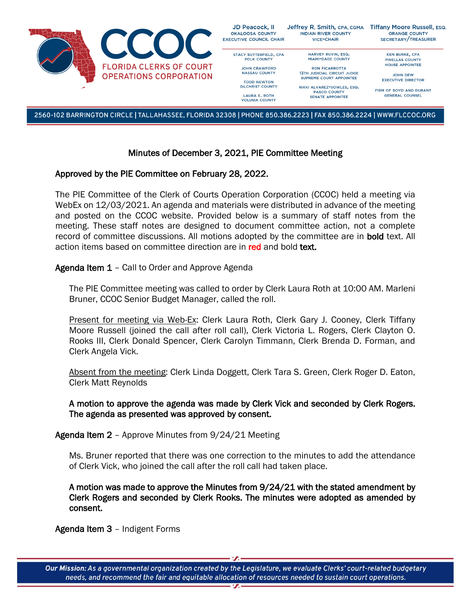

2560-102 BARRINGTON CIRCLE | TALLAHASSEE, FLORIDA 32308 | PHONE 850.386.2223 | FAX 850.386.2224 | WWW.FLCCOC.ORG

## Minutes of December 3, 2021, PIE Committee Meeting

#### Approved by the PIE Committee on February 28, 2022.

The PIE Committee of the Clerk of Courts Operation Corporation (CCOC) held a meeting via WebEx on 12/03/2021. An agenda and materials were distributed in advance of the meeting and posted on the CCOC website. Provided below is a summary of staff notes from the meeting. These staff notes are designed to document committee action, not a complete record of committee discussions. All motions adopted by the committee are in **bold** text. All action items based on committee direction are in red and bold text.

## Agenda Item 1 - Call to Order and Approve Agenda

The PIE Committee meeting was called to order by Clerk Laura Roth at 10:00 AM. Marleni Bruner, CCOC Senior Budget Manager, called the roll.

Present for meeting via Web-Ex: Clerk Laura Roth, Clerk Gary J. Cooney, Clerk Tiffany Moore Russell (joined the call after roll call), Clerk Victoria L. Rogers, Clerk Clayton O. Rooks III, Clerk Donald Spencer, Clerk Carolyn Timmann, Clerk Brenda D. Forman, and Clerk Angela Vick.

Absent from the meeting: Clerk Linda Doggett, Clerk Tara S. Green, Clerk Roger D. Eaton, Clerk Matt Reynolds

## A motion to approve the agenda was made by Clerk Vick and seconded by Clerk Rogers. The agenda as presented was approved by consent.

Agenda Item 2 – Approve Minutes from 9/24/21 Meeting

Ms. Bruner reported that there was one correction to the minutes to add the attendance of Clerk Vick, who joined the call after the roll call had taken place.

A motion was made to approve the Minutes from 9/24/21 with the stated amendment by Clerk Rogers and seconded by Clerk Rooks. The minutes were adopted as amended by consent.

## Agenda Item 3 – Indigent Forms

Our Mission: As a governmental organization created by the Legislature, we evaluate Clerks' court-related budgetary needs, and recommend the fair and equitable allocation of resources needed to sustain court operations.  $\overline{\mathbf{r}}$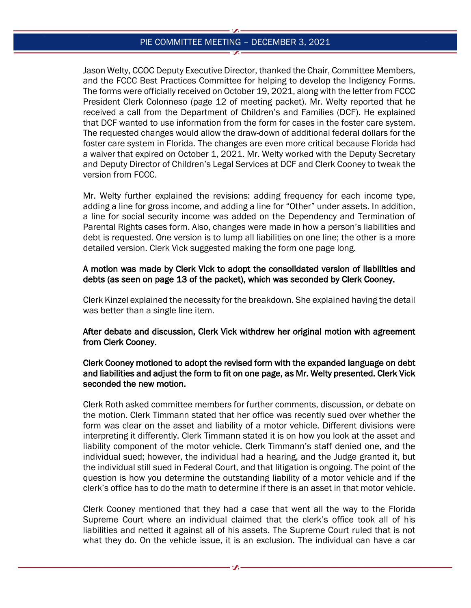### PIE COMMITTEE MEETING – DECEMBER 3, 2021

Jason Welty, CCOC Deputy Executive Director, thanked the Chair, Committee Members, and the FCCC Best Practices Committee for helping to develop the Indigency Forms. The forms were officially received on October 19, 2021, along with the letter from FCCC President Clerk Colonneso (page 12 of meeting packet). Mr. Welty reported that he received a call from the Department of Children's and Families (DCF). He explained that DCF wanted to use information from the form for cases in the foster care system. The requested changes would allow the draw-down of additional federal dollars for the foster care system in Florida. The changes are even more critical because Florida had a waiver that expired on October 1, 2021. Mr. Welty worked with the Deputy Secretary and Deputy Director of Children's Legal Services at DCF and Clerk Cooney to tweak the version from FCCC.

Mr. Welty further explained the revisions: adding frequency for each income type, adding a line for gross income, and adding a line for "Other" under assets. In addition, a line for social security income was added on the Dependency and Termination of Parental Rights cases form. Also, changes were made in how a person's liabilities and debt is requested. One version is to lump all liabilities on one line; the other is a more detailed version. Clerk Vick suggested making the form one page long.

#### A motion was made by Clerk Vick to adopt the consolidated version of liabilities and debts (as seen on page 13 of the packet), which was seconded by Clerk Cooney.

Clerk Kinzel explained the necessity for the breakdown. She explained having the detail was better than a single line item.

After debate and discussion, Clerk Vick withdrew her original motion with agreement from Clerk Cooney.

# Clerk Cooney motioned to adopt the revised form with the expanded language on debt and liabilities and adjust the form to fit on one page, as Mr. Welty presented. Clerk Vick seconded the new motion.

Clerk Roth asked committee members for further comments, discussion, or debate on the motion. Clerk Timmann stated that her office was recently sued over whether the form was clear on the asset and liability of a motor vehicle. Different divisions were interpreting it differently. Clerk Timmann stated it is on how you look at the asset and liability component of the motor vehicle. Clerk Timmann's staff denied one, and the individual sued; however, the individual had a hearing, and the Judge granted it, but the individual still sued in Federal Court, and that litigation is ongoing. The point of the question is how you determine the outstanding liability of a motor vehicle and if the clerk's office has to do the math to determine if there is an asset in that motor vehicle.

Clerk Cooney mentioned that they had a case that went all the way to the Florida Supreme Court where an individual claimed that the clerk's office took all of his liabilities and netted it against all of his assets. The Supreme Court ruled that is not what they do. On the vehicle issue, it is an exclusion. The individual can have a car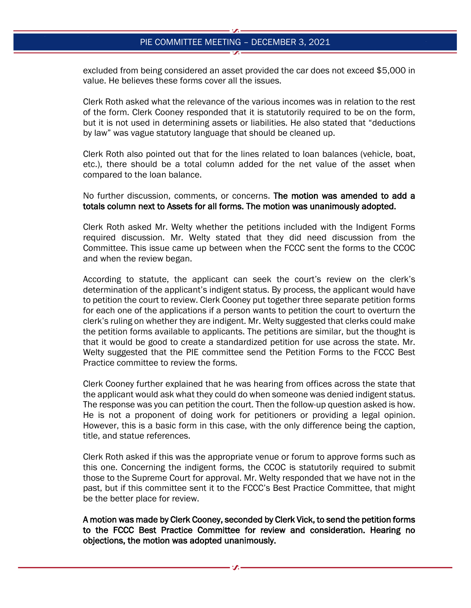#### PIE COMMITTEE MEETING – DECEMBER 3, 2021

excluded from being considered an asset provided the car does not exceed \$5,000 in value. He believes these forms cover all the issues.

Clerk Roth asked what the relevance of the various incomes was in relation to the rest of the form. Clerk Cooney responded that it is statutorily required to be on the form, but it is not used in determining assets or liabilities. He also stated that "deductions by law" was vague statutory language that should be cleaned up.

Clerk Roth also pointed out that for the lines related to loan balances (vehicle, boat, etc.), there should be a total column added for the net value of the asset when compared to the loan balance.

No further discussion, comments, or concerns. The motion was amended to add a totals column next to Assets for all forms. The motion was unanimously adopted.

Clerk Roth asked Mr. Welty whether the petitions included with the Indigent Forms required discussion. Mr. Welty stated that they did need discussion from the Committee. This issue came up between when the FCCC sent the forms to the CCOC and when the review began.

According to statute, the applicant can seek the court's review on the clerk's determination of the applicant's indigent status. By process, the applicant would have to petition the court to review. Clerk Cooney put together three separate petition forms for each one of the applications if a person wants to petition the court to overturn the clerk's ruling on whether they are indigent. Mr. Welty suggested that clerks could make the petition forms available to applicants. The petitions are similar, but the thought is that it would be good to create a standardized petition for use across the state. Mr. Welty suggested that the PIE committee send the Petition Forms to the FCCC Best Practice committee to review the forms.

Clerk Cooney further explained that he was hearing from offices across the state that the applicant would ask what they could do when someone was denied indigent status. The response was you can petition the court. Then the follow-up question asked is how. He is not a proponent of doing work for petitioners or providing a legal opinion. However, this is a basic form in this case, with the only difference being the caption, title, and statue references.

Clerk Roth asked if this was the appropriate venue or forum to approve forms such as this one. Concerning the indigent forms, the CCOC is statutorily required to submit those to the Supreme Court for approval. Mr. Welty responded that we have not in the past, but if this committee sent it to the FCCC's Best Practice Committee, that might be the better place for review.

A motion was made by Clerk Cooney, seconded by Clerk Vick, to send the petition forms to the FCCC Best Practice Committee for review and consideration. Hearing no objections, the motion was adopted unanimously.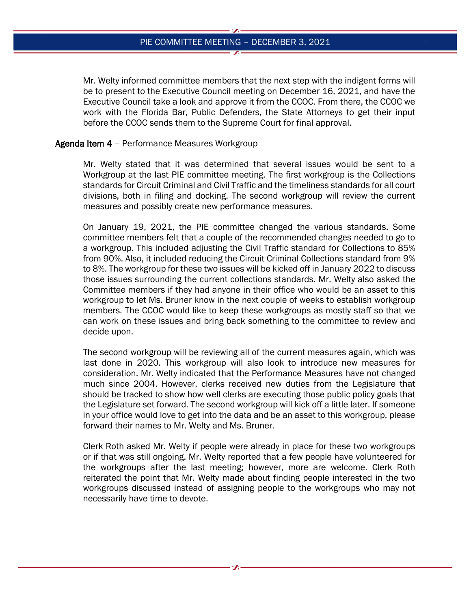Mr. Welty informed committee members that the next step with the indigent forms will be to present to the Executive Council meeting on December 16, 2021, and have the Executive Council take a look and approve it from the CCOC. From there, the CCOC we work with the Florida Bar, Public Defenders, the State Attorneys to get their input before the CCOC sends them to the Supreme Court for final approval.

#### Agenda Item 4 – Performance Measures Workgroup

Mr. Welty stated that it was determined that several issues would be sent to a Workgroup at the last PIE committee meeting. The first workgroup is the Collections standards for Circuit Criminal and Civil Traffic and the timeliness standards for all court divisions, both in filing and docking. The second workgroup will review the current measures and possibly create new performance measures.

On January 19, 2021, the PIE committee changed the various standards. Some committee members felt that a couple of the recommended changes needed to go to a workgroup. This included adjusting the Civil Traffic standard for Collections to 85% from 90%. Also, it included reducing the Circuit Criminal Collections standard from 9% to 8%. The workgroup for these two issues will be kicked off in January 2022 to discuss those issues surrounding the current collections standards. Mr. Welty also asked the Committee members if they had anyone in their office who would be an asset to this workgroup to let Ms. Bruner know in the next couple of weeks to establish workgroup members. The CCOC would like to keep these workgroups as mostly staff so that we can work on these issues and bring back something to the committee to review and decide upon.

The second workgroup will be reviewing all of the current measures again, which was last done in 2020. This workgroup will also look to introduce new measures for consideration. Mr. Welty indicated that the Performance Measures have not changed much since 2004. However, clerks received new duties from the Legislature that should be tracked to show how well clerks are executing those public policy goals that the Legislature set forward. The second workgroup will kick off a little later. If someone in your office would love to get into the data and be an asset to this workgroup, please forward their names to Mr. Welty and Ms. Bruner.

Clerk Roth asked Mr. Welty if people were already in place for these two workgroups or if that was still ongoing. Mr. Welty reported that a few people have volunteered for the workgroups after the last meeting; however, more are welcome. Clerk Roth reiterated the point that Mr. Welty made about finding people interested in the two workgroups discussed instead of assigning people to the workgroups who may not necessarily have time to devote.